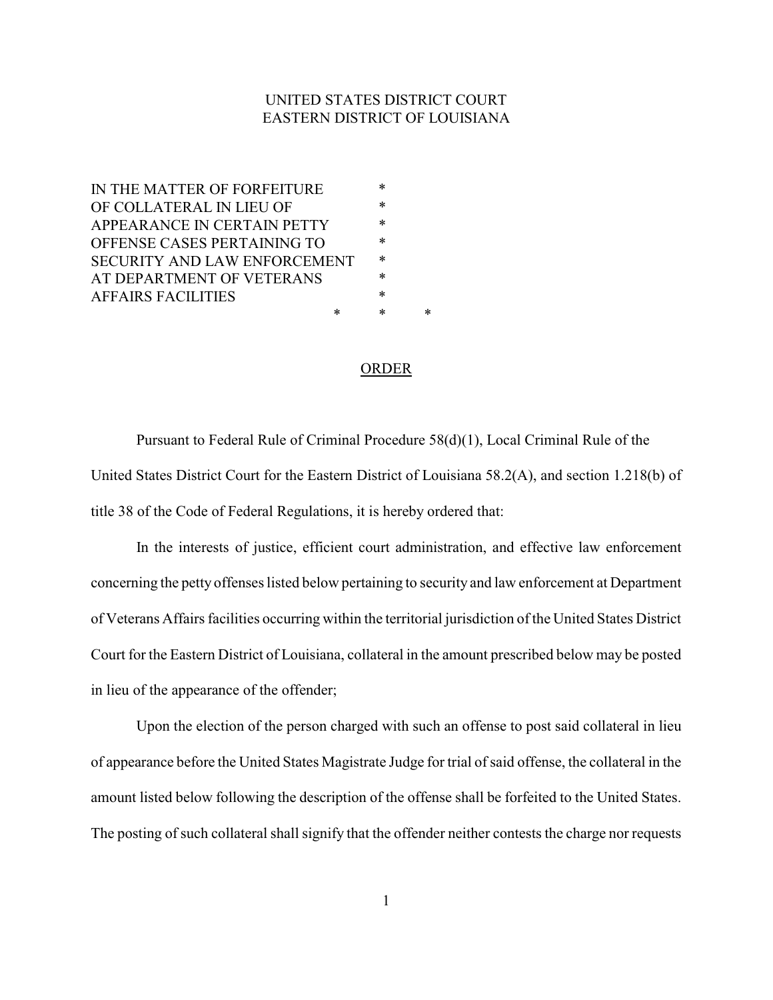## UNITED STATES DISTRICT COURT EASTERN DISTRICT OF LOUISIANA

| IN THE MATTER OF FORFEITURE         |   | $\ast$ |   |
|-------------------------------------|---|--------|---|
| OF COLLATERAL IN LIEU OF            |   | ∗      |   |
| APPEARANCE IN CERTAIN PETTY         |   | *      |   |
| OFFENSE CASES PERTAINING TO         |   | ∗      |   |
| <b>SECURITY AND LAW ENFORCEMENT</b> |   | $\ast$ |   |
| AT DEPARTMENT OF VETERANS           |   | $\ast$ |   |
| <b>AFFAIRS FACILITIES</b>           |   | ∗      |   |
|                                     | ∗ | *      | * |
|                                     |   |        |   |

## ORDER

Pursuant to Federal Rule of Criminal Procedure 58(d)(1), Local Criminal Rule of the United States District Court for the Eastern District of Louisiana 58.2(A), and section 1.218(b) of title 38 of the Code of Federal Regulations, it is hereby ordered that:

In the interests of justice, efficient court administration, and effective law enforcement concerning the petty offenses listed below pertaining to security and law enforcement at Department of Veterans Affairs facilities occurring within the territorial jurisdiction of the United States District Court for the Eastern District of Louisiana, collateral in the amount prescribed below may be posted in lieu of the appearance of the offender;

Upon the election of the person charged with such an offense to post said collateral in lieu of appearance before the United States Magistrate Judge for trial of said offense, the collateral in the amount listed below following the description of the offense shall be forfeited to the United States. The posting of such collateral shall signify that the offender neither contests the charge nor requests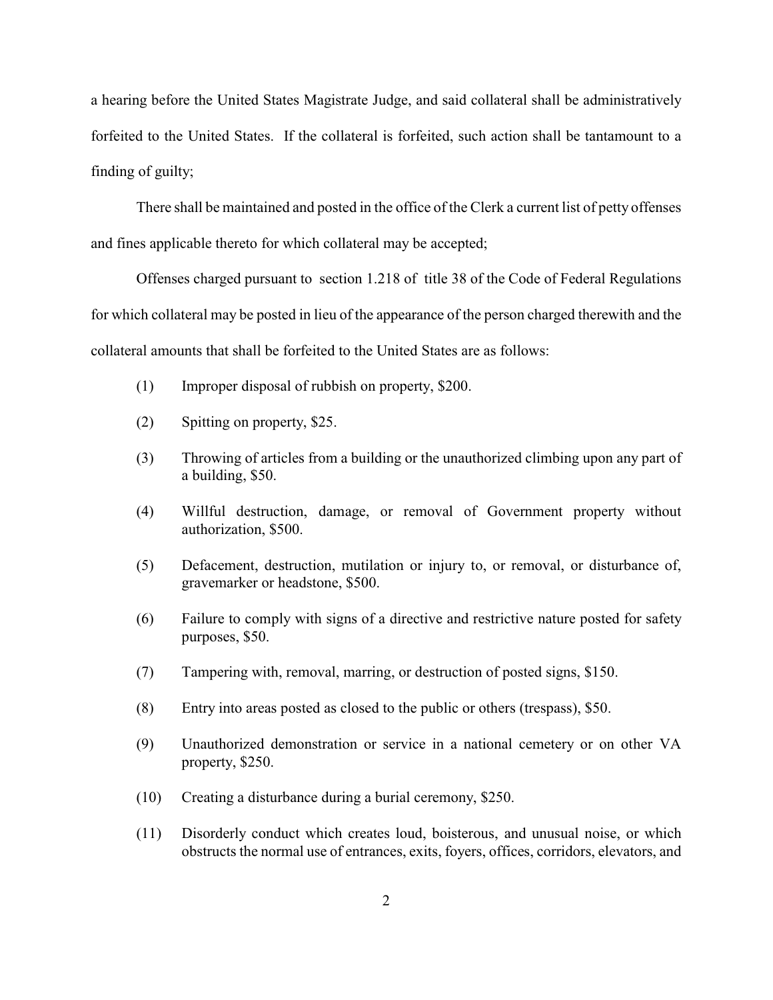a hearing before the United States Magistrate Judge, and said collateral shall be administratively forfeited to the United States. If the collateral is forfeited, such action shall be tantamount to a finding of guilty;

There shall be maintained and posted in the office of the Clerk a current list of petty offenses and fines applicable thereto for which collateral may be accepted;

Offenses charged pursuant to section 1.218 of title 38 of the Code of Federal Regulations for which collateral may be posted in lieu of the appearance of the person charged therewith and the collateral amounts that shall be forfeited to the United States are as follows:

- (1) Improper disposal of rubbish on property, \$200.
- (2) Spitting on property, \$25.
- (3) Throwing of articles from a building or the unauthorized climbing upon any part of a building, \$50.
- (4) Willful destruction, damage, or removal of Government property without authorization, \$500.
- (5) Defacement, destruction, mutilation or injury to, or removal, or disturbance of, gravemarker or headstone, \$500.
- (6) Failure to comply with signs of a directive and restrictive nature posted for safety purposes, \$50.
- (7) Tampering with, removal, marring, or destruction of posted signs, \$150.
- (8) Entry into areas posted as closed to the public or others (trespass), \$50.
- (9) Unauthorized demonstration or service in a national cemetery or on other VA property, \$250.
- (10) Creating a disturbance during a burial ceremony, \$250.
- (11) Disorderly conduct which creates loud, boisterous, and unusual noise, or which obstructs the normal use of entrances, exits, foyers, offices, corridors, elevators, and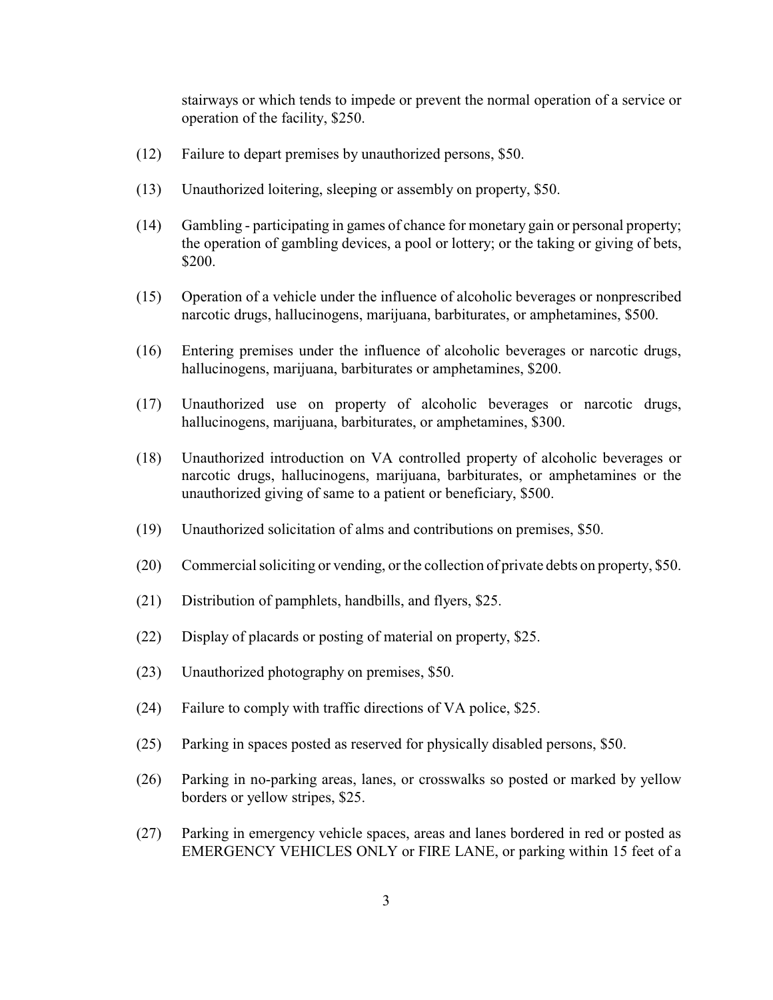stairways or which tends to impede or prevent the normal operation of a service or operation of the facility, \$250.

- (12) Failure to depart premises by unauthorized persons, \$50.
- (13) Unauthorized loitering, sleeping or assembly on property, \$50.
- (14) Gambling participating in games of chance for monetary gain or personal property; the operation of gambling devices, a pool or lottery; or the taking or giving of bets, \$200.
- (15) Operation of a vehicle under the influence of alcoholic beverages or nonprescribed narcotic drugs, hallucinogens, marijuana, barbiturates, or amphetamines, \$500.
- (16) Entering premises under the influence of alcoholic beverages or narcotic drugs, hallucinogens, marijuana, barbiturates or amphetamines, \$200.
- (17) Unauthorized use on property of alcoholic beverages or narcotic drugs, hallucinogens, marijuana, barbiturates, or amphetamines, \$300.
- (18) Unauthorized introduction on VA controlled property of alcoholic beverages or narcotic drugs, hallucinogens, marijuana, barbiturates, or amphetamines or the unauthorized giving of same to a patient or beneficiary, \$500.
- (19) Unauthorized solicitation of alms and contributions on premises, \$50.
- (20) Commercial soliciting or vending, or the collection of private debts on property, \$50.
- (21) Distribution of pamphlets, handbills, and flyers, \$25.
- (22) Display of placards or posting of material on property, \$25.
- (23) Unauthorized photography on premises, \$50.
- (24) Failure to comply with traffic directions of VA police, \$25.
- (25) Parking in spaces posted as reserved for physically disabled persons, \$50.
- (26) Parking in no-parking areas, lanes, or crosswalks so posted or marked by yellow borders or yellow stripes, \$25.
- (27) Parking in emergency vehicle spaces, areas and lanes bordered in red or posted as EMERGENCY VEHICLES ONLY or FIRE LANE, or parking within 15 feet of a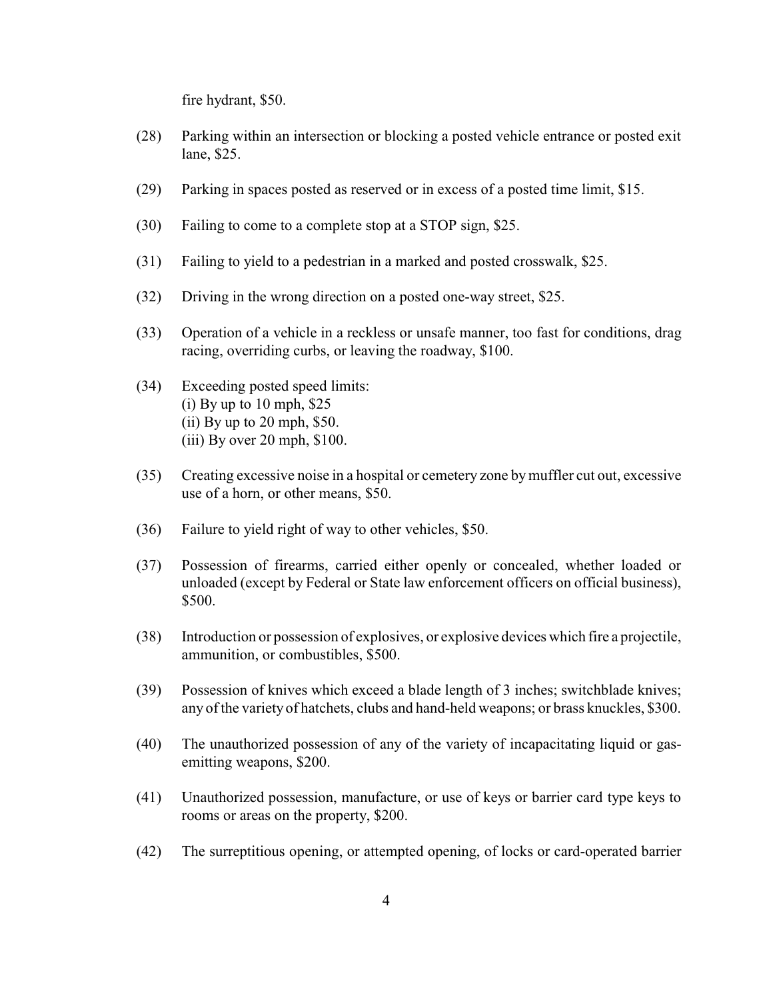fire hydrant, \$50.

- (28) Parking within an intersection or blocking a posted vehicle entrance or posted exit lane, \$25.
- (29) Parking in spaces posted as reserved or in excess of a posted time limit, \$15.
- (30) Failing to come to a complete stop at a STOP sign, \$25.
- (31) Failing to yield to a pedestrian in a marked and posted crosswalk, \$25.
- (32) Driving in the wrong direction on a posted one-way street, \$25.
- (33) Operation of a vehicle in a reckless or unsafe manner, too fast for conditions, drag racing, overriding curbs, or leaving the roadway, \$100.
- (34) Exceeding posted speed limits:  $(i)$  By up to 10 mph, \$25 (ii) By up to 20 mph, \$50. (iii) By over 20 mph, \$100.
- (35) Creating excessive noise in a hospital or cemetery zone bymuffler cut out, excessive use of a horn, or other means, \$50.
- (36) Failure to yield right of way to other vehicles, \$50.
- (37) Possession of firearms, carried either openly or concealed, whether loaded or unloaded (except by Federal or State law enforcement officers on official business), \$500.
- (38) Introduction or possession of explosives, or explosive devices which fire a projectile, ammunition, or combustibles, \$500.
- (39) Possession of knives which exceed a blade length of 3 inches; switchblade knives; any of the variety of hatchets, clubs and hand-held weapons; or brass knuckles, \$300.
- (40) The unauthorized possession of any of the variety of incapacitating liquid or gasemitting weapons, \$200.
- (41) Unauthorized possession, manufacture, or use of keys or barrier card type keys to rooms or areas on the property, \$200.
- (42) The surreptitious opening, or attempted opening, of locks or card-operated barrier